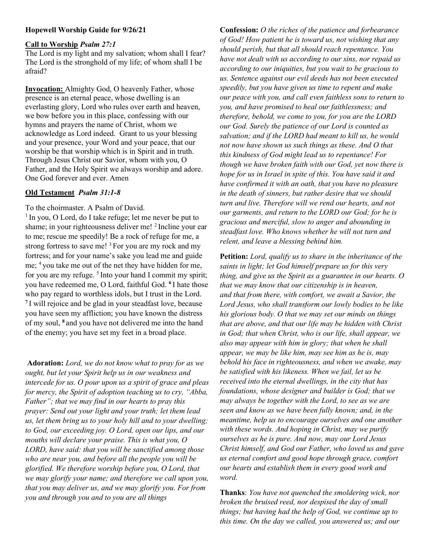# Hopewell Worship Guide for 9/26/21

## Call to Worship Psalm 27:1

The Lord is my light and my salvation; whom shall I fear? The Lord is the stronghold of my life; of whom shall I be afraid?

Invocation: Almighty God, O heavenly Father, whose presence is an eternal peace, whose dwelling is an everlasting glory, Lord who rules over earth and heaven, we bow before you in this place, confessing with our hymns and prayers the name of Christ, whom we acknowledge as Lord indeed. Grant to us your blessing and your presence, your Word and your peace, that our worship be that worship which is in Spirit and in truth. Through Jesus Christ our Savior, whom with you, O Father, and the Holy Spirit we always worship and adore. One God forever and ever. Amen

## Old Testament Psalm 31:1-8

To the choirmaster. A Psalm of David.

 $1$  In you, O Lord, do I take refuge; let me never be put to shame; in your righteousness deliver me! <sup>2</sup> Incline your ear to me; rescue me speedily! Be a rock of refuge for me, a strong fortress to save me!  $3$  For you are my rock and my fortress; and for your name's sake you lead me and guide me; <sup>4</sup>you take me out of the net they have hidden for me, for you are my refuge.  $5$  Into your hand I commit my spirit; you have redeemed me, O Lord, faithful God. <sup>6</sup>I hate those who pay regard to worthless idols, but I trust in the Lord. <sup>7</sup>I will rejoice and be glad in your steadfast love, because you have seen my affliction; you have known the distress of my soul, <sup>8</sup>and you have not delivered me into the hand of the enemy; you have set my feet in a broad place.

Adoration: Lord, we do not know what to pray for as we ought, but let your Spirit help us in our weakness and intercede for us. O pour upon us a spirit of grace and pleas for mercy, the Spirit of adoption teaching us to cry, "Abba, Father"; that we may find in our hearts to pray this prayer: Send out your light and your truth; let them lead us, let them bring us to your holy hill and to your dwelling; to God, our exceeding joy. O Lord, open our lips, and our mouths will declare your praise. This is what you, O LORD, have said: that you will be sanctified among those who are near you, and before all the people you will be glorified. We therefore worship before you, O Lord, that we may glorify your name; and therefore we call upon you, that you may deliver us, and we may glorify you. For from you and through you and to you are all things

Confession: O the riches of the patience and forbearance of God! How patient he is toward us, not wishing that any should perish, but that all should reach repentance. You have not dealt with us according to our sins, nor repaid us according to our iniquities, but you wait to be gracious to us. Sentence against our evil deeds has not been executed speedily, but you have given us time to repent and make our peace with you, and call even faithless sons to return to you, and have promised to heal our faithlessness; and therefore, behold, we come to you, for you are the LORD our God. Surely the patience of our Lord is counted as salvation; and if the LORD had meant to kill us, he would not now have shown us such things as these. And O that this kindness of God might lead us to repentance! For though we have broken faith with our God, yet now there is hope for us in Israel in spite of this. You have said it and have confirmed it with an oath, that you have no pleasure in the death of sinners, but rather desire that we should turn and live. Therefore will we rend our hearts, and not our garments, and return to the LORD our God; for he is gracious and merciful, slow to anger and abounding in steadfast love. Who knows whether he will not turn and relent, and leave a blessing behind him.

Petition: Lord, qualify us to share in the inheritance of the saints in light; let God himself prepare us for this very thing, and give us the Spirit as a guarantee in our hearts. O that we may know that our citizenship is in heaven, and that from there, with comfort, we await a Savior, the Lord Jesus, who shall transform our lowly bodies to be like his glorious body. O that we may set our minds on things that are above, and that our life may be hidden with Christ in God; that when Christ, who is our life, shall appear, we also may appear with him in glory; that when he shall appear, we may be like him, may see him as he is, may behold his face in righteousness, and when we awake, may be satisfied with his likeness. When we fail, let us be received into the eternal dwellings, in the city that has foundations, whose designer and builder is God; that we may always be together with the Lord, to see as we are seen and know as we have been fully known; and, in the meantime, help us to encourage ourselves and one another with these words. And hoping in Christ, may we purify ourselves as he is pure. And now, may our Lord Jesus Christ himself, and God our Father, who loved us and gave us eternal comfort and good hope through grace, comfort our hearts and establish them in every good work and word.

Thanks: You have not quenched the smoldering wick, nor broken the bruised reed, nor despised the day of small things; but having had the help of God, we continue up to this time. On the day we called, you answered us; and our